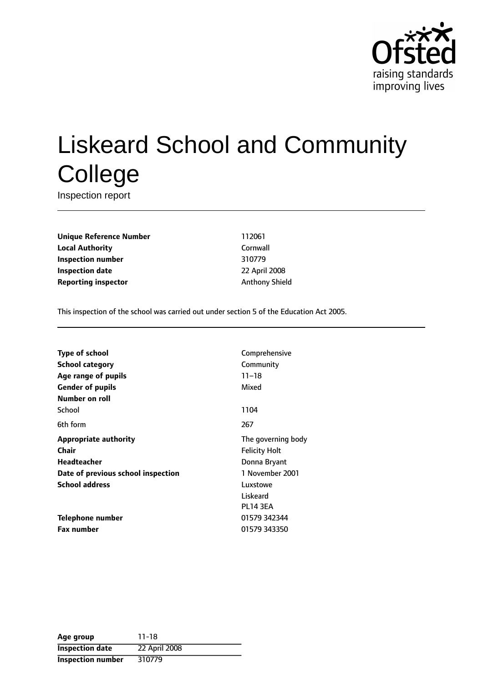

# Liskeard School and Community **College**

Inspection report

**Unique Reference Number** 112061 **Local Authority** Cornwall **Inspection number** 310779 **Inspection date** 22 April 2008 **Reporting inspector** Anthony Shield

This inspection of the school was carried out under section 5 of the Education Act 2005.

| Comprehensive        |
|----------------------|
| Community            |
| $11 - 18$            |
| Mixed                |
|                      |
| 1104                 |
| 267                  |
| The governing body   |
| <b>Felicity Holt</b> |
| Donna Bryant         |
| 1 November 2001      |
| Luxstowe             |
| Liskeard             |
| <b>PL14 3EA</b>      |
| 01579 342344         |
| 01579 343350         |
|                      |

| Age group                | $11 - 18$     |
|--------------------------|---------------|
| <b>Inspection date</b>   | 22 April 2008 |
| <b>Inspection number</b> | 310779        |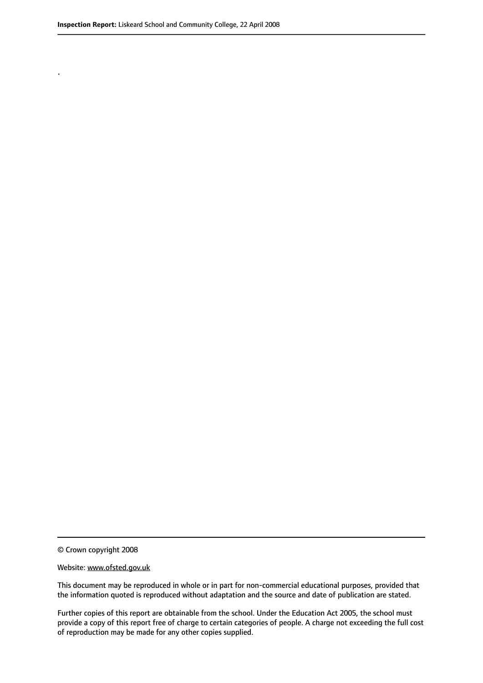.

© Crown copyright 2008

#### Website: www.ofsted.gov.uk

This document may be reproduced in whole or in part for non-commercial educational purposes, provided that the information quoted is reproduced without adaptation and the source and date of publication are stated.

Further copies of this report are obtainable from the school. Under the Education Act 2005, the school must provide a copy of this report free of charge to certain categories of people. A charge not exceeding the full cost of reproduction may be made for any other copies supplied.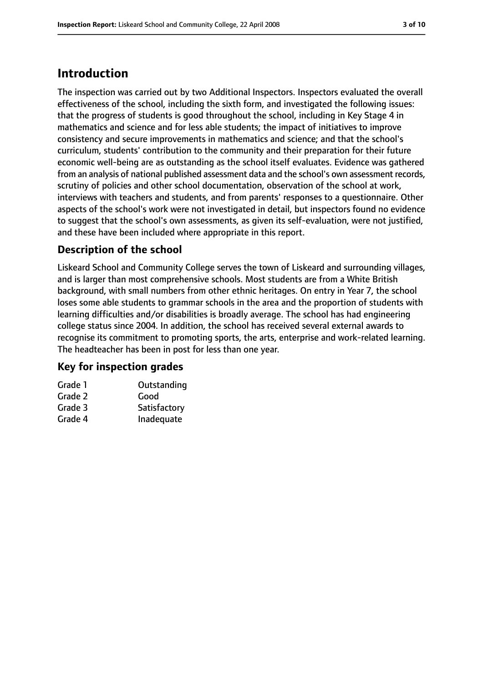# **Introduction**

The inspection was carried out by two Additional Inspectors. Inspectors evaluated the overall effectiveness of the school, including the sixth form, and investigated the following issues: that the progress of students is good throughout the school, including in Key Stage 4 in mathematics and science and for less able students; the impact of initiatives to improve consistency and secure improvements in mathematics and science; and that the school's curriculum, students' contribution to the community and their preparation for their future economic well-being are as outstanding as the school itself evaluates. Evidence was gathered from an analysis of national published assessment data and the school's own assessment records, scrutiny of policies and other school documentation, observation of the school at work, interviews with teachers and students, and from parents' responses to a questionnaire. Other aspects of the school's work were not investigated in detail, but inspectors found no evidence to suggest that the school's own assessments, as given its self-evaluation, were not justified, and these have been included where appropriate in this report.

## **Description of the school**

Liskeard School and Community College serves the town of Liskeard and surrounding villages, and is larger than most comprehensive schools. Most students are from a White British background, with small numbers from other ethnic heritages. On entry in Year 7, the school loses some able students to grammar schools in the area and the proportion of students with learning difficulties and/or disabilities is broadly average. The school has had engineering college status since 2004. In addition, the school has received several external awards to recognise its commitment to promoting sports, the arts, enterprise and work-related learning. The headteacher has been in post for less than one year.

## **Key for inspection grades**

| Grade 1 | Outstanding  |
|---------|--------------|
| Grade 2 | Good         |
| Grade 3 | Satisfactory |
| Grade 4 | Inadequate   |
|         |              |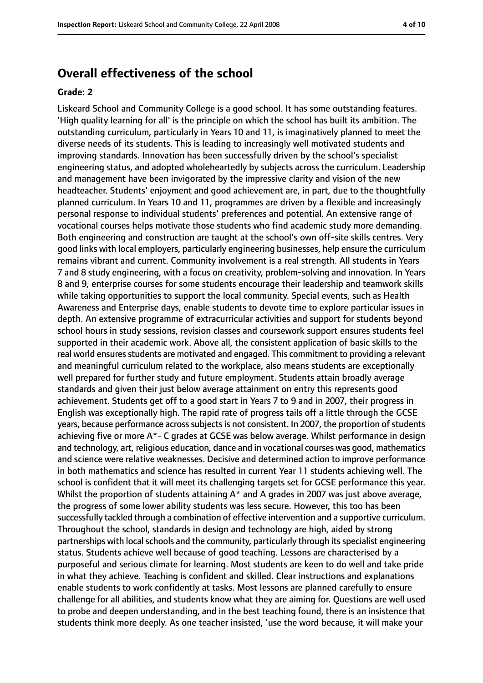## **Overall effectiveness of the school**

#### **Grade: 2**

Liskeard School and Community College is a good school. It has some outstanding features. 'High quality learning for all' is the principle on which the school has built its ambition. The outstanding curriculum, particularly in Years 10 and 11, is imaginatively planned to meet the diverse needs of its students. This is leading to increasingly well motivated students and improving standards. Innovation has been successfully driven by the school's specialist engineering status, and adopted wholeheartedly by subjects across the curriculum. Leadership and management have been invigorated by the impressive clarity and vision of the new headteacher. Students' enjoyment and good achievement are, in part, due to the thoughtfully planned curriculum. In Years 10 and 11, programmes are driven by a flexible and increasingly personal response to individual students' preferences and potential. An extensive range of vocational courses helps motivate those students who find academic study more demanding. Both engineering and construction are taught at the school's own off-site skills centres. Very good links with local employers, particularly engineering businesses, help ensure the curriculum remains vibrant and current. Community involvement is a real strength. All students in Years 7 and 8 study engineering, with a focus on creativity, problem-solving and innovation. In Years 8 and 9, enterprise courses for some students encourage their leadership and teamwork skills while taking opportunities to support the local community. Special events, such as Health Awareness and Enterprise days, enable students to devote time to explore particular issues in depth. An extensive programme of extracurricular activities and support for students beyond school hours in study sessions, revision classes and coursework support ensures students feel supported in their academic work. Above all, the consistent application of basic skills to the real world ensures students are motivated and engaged. This commitment to providing a relevant and meaningful curriculum related to the workplace, also means students are exceptionally well prepared for further study and future employment. Students attain broadly average standards and given their just below average attainment on entry this represents good achievement. Students get off to a good start in Years 7 to 9 and in 2007, their progress in English was exceptionally high. The rapid rate of progress tails off a little through the GCSE years, because performance across subjects is not consistent. In 2007, the proportion of students achieving five or more A\*- C grades at GCSE was below average. Whilst performance in design and technology, art, religious education, dance and in vocational courses was good, mathematics and science were relative weaknesses. Decisive and determined action to improve performance in both mathematics and science has resulted in current Year 11 students achieving well. The school is confident that it will meet its challenging targets set for GCSE performance this year. Whilst the proportion of students attaining A\* and A grades in 2007 was just above average, the progress of some lower ability students was less secure. However, this too has been successfully tackled through a combination of effective intervention and a supportive curriculum. Throughout the school, standards in design and technology are high, aided by strong partnerships with local schools and the community, particularly through its specialist engineering status. Students achieve well because of good teaching. Lessons are characterised by a purposeful and serious climate for learning. Most students are keen to do well and take pride in what they achieve. Teaching is confident and skilled. Clear instructions and explanations enable students to work confidently at tasks. Most lessons are planned carefully to ensure challenge for all abilities, and students know what they are aiming for. Questions are well used to probe and deepen understanding, and in the best teaching found, there is an insistence that students think more deeply. As one teacher insisted, 'use the word because, it will make your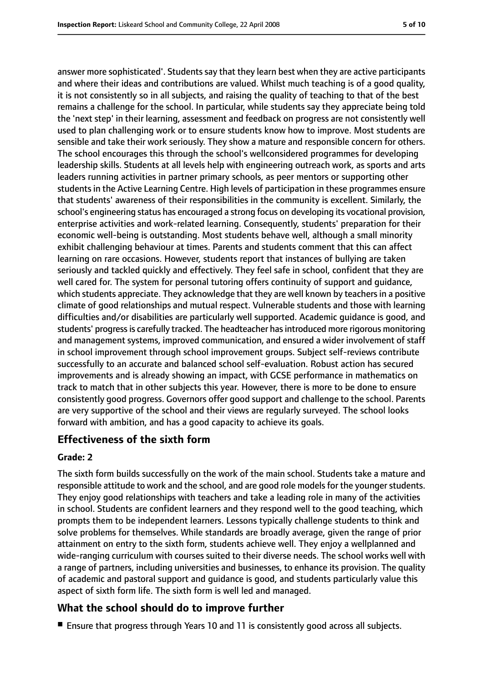answer more sophisticated'. Students say that they learn best when they are active participants and where their ideas and contributions are valued. Whilst much teaching is of a good quality, it is not consistently so in all subjects, and raising the quality of teaching to that of the best remains a challenge for the school. In particular, while students say they appreciate being told the 'next step' in their learning, assessment and feedback on progress are not consistently well used to plan challenging work or to ensure students know how to improve. Most students are sensible and take their work seriously. They show a mature and responsible concern for others. The school encourages this through the school's wellconsidered programmes for developing leadership skills. Students at all levels help with engineering outreach work, as sports and arts leaders running activities in partner primary schools, as peer mentors or supporting other students in the Active Learning Centre. High levels of participation in these programmes ensure that students' awareness of their responsibilities in the community is excellent. Similarly, the school's engineering status has encouraged a strong focus on developing its vocational provision, enterprise activities and work-related learning. Consequently, students' preparation for their economic well-being is outstanding. Most students behave well, although a small minority exhibit challenging behaviour at times. Parents and students comment that this can affect learning on rare occasions. However, students report that instances of bullying are taken seriously and tackled quickly and effectively. They feel safe in school, confident that they are well cared for. The system for personal tutoring offers continuity of support and guidance, which students appreciate. They acknowledge that they are well known by teachers in a positive climate of good relationships and mutual respect. Vulnerable students and those with learning difficulties and/or disabilities are particularly well supported. Academic guidance is good, and students' progress is carefully tracked. The headteacher has introduced more rigorous monitoring and management systems, improved communication, and ensured a wider involvement of staff in school improvement through school improvement groups. Subject self-reviews contribute successfully to an accurate and balanced school self-evaluation. Robust action has secured improvements and is already showing an impact, with GCSE performance in mathematics on track to match that in other subjects this year. However, there is more to be done to ensure consistently good progress. Governors offer good support and challenge to the school. Parents are very supportive of the school and their views are regularly surveyed. The school looks forward with ambition, and has a good capacity to achieve its goals.

## **Effectiveness of the sixth form**

### **Grade: 2**

The sixth form builds successfully on the work of the main school. Students take a mature and responsible attitude to work and the school, and are good role models for the younger students. They enjoy good relationships with teachers and take a leading role in many of the activities in school. Students are confident learners and they respond well to the good teaching, which prompts them to be independent learners. Lessons typically challenge students to think and solve problems for themselves. While standards are broadly average, given the range of prior attainment on entry to the sixth form, students achieve well. They enjoy a wellplanned and wide-ranging curriculum with courses suited to their diverse needs. The school works well with a range of partners, including universities and businesses, to enhance its provision. The quality of academic and pastoral support and guidance is good, and students particularly value this aspect of sixth form life. The sixth form is well led and managed.

## **What the school should do to improve further**

■ Ensure that progress through Years 10 and 11 is consistently good across all subjects.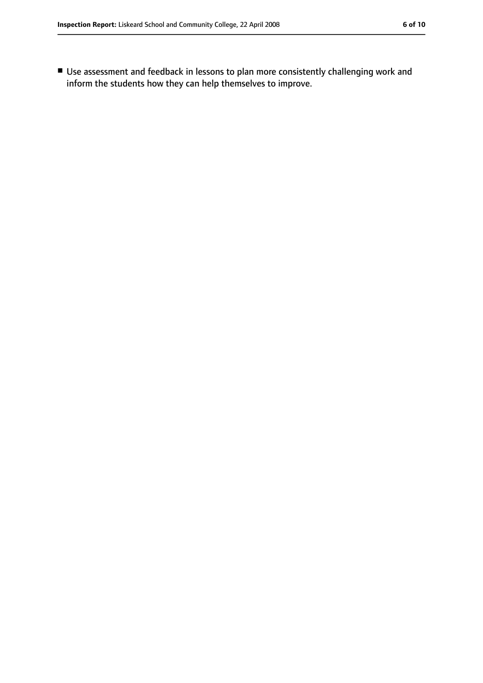■ Use assessment and feedback in lessons to plan more consistently challenging work and inform the students how they can help themselves to improve.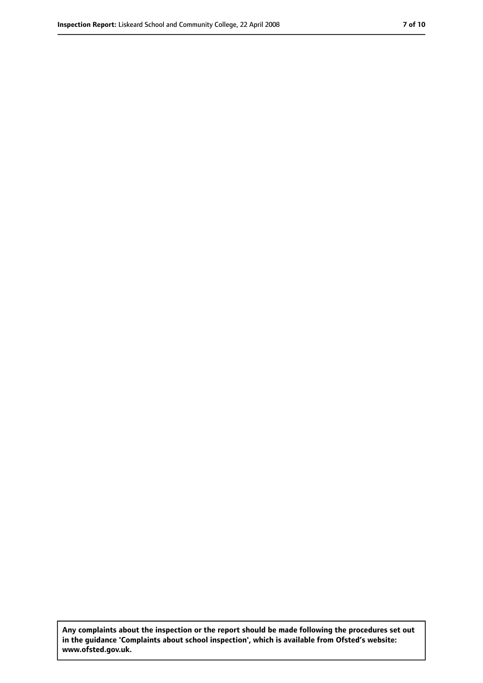**Any complaints about the inspection or the report should be made following the procedures set out in the guidance 'Complaints about school inspection', which is available from Ofsted's website: www.ofsted.gov.uk.**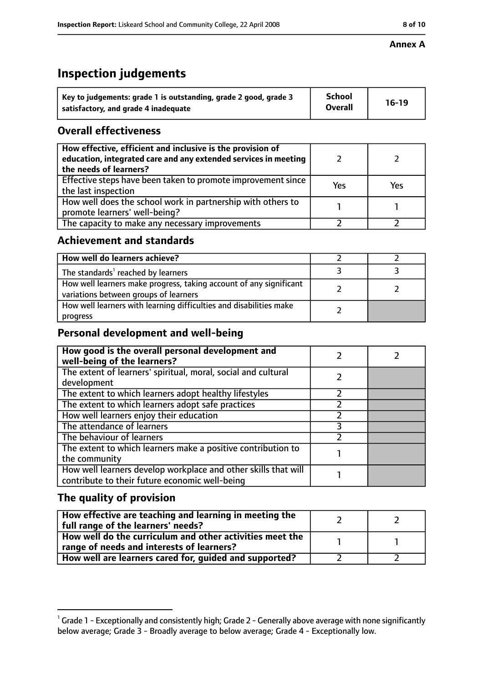#### **Annex A**

## **Inspection judgements**

| Key to judgements: grade 1 is outstanding, grade 2 good, grade 3 | School         | $16-19$ |
|------------------------------------------------------------------|----------------|---------|
| satisfactory, and grade 4 inadequate                             | <b>Overall</b> |         |

## **Overall effectiveness**

| How effective, efficient and inclusive is the provision of<br>education, integrated care and any extended services in meeting<br>the needs of learners? |     |     |
|---------------------------------------------------------------------------------------------------------------------------------------------------------|-----|-----|
| Effective steps have been taken to promote improvement since<br>the last inspection                                                                     | Yes | Yes |
| How well does the school work in partnership with others to<br>promote learners' well-being?                                                            |     |     |
| The capacity to make any necessary improvements                                                                                                         |     |     |

## **Achievement and standards**

| How well do learners achieve?                                                                               |  |
|-------------------------------------------------------------------------------------------------------------|--|
| The standards <sup>1</sup> reached by learners                                                              |  |
| How well learners make progress, taking account of any significant<br>variations between groups of learners |  |
| How well learners with learning difficulties and disabilities make<br>progress                              |  |

## **Personal development and well-being**

| How good is the overall personal development and<br>well-being of the learners?                                  |  |
|------------------------------------------------------------------------------------------------------------------|--|
| The extent of learners' spiritual, moral, social and cultural                                                    |  |
| development                                                                                                      |  |
| The extent to which learners adopt healthy lifestyles                                                            |  |
| The extent to which learners adopt safe practices                                                                |  |
| How well learners enjoy their education                                                                          |  |
| The attendance of learners                                                                                       |  |
| The behaviour of learners                                                                                        |  |
| The extent to which learners make a positive contribution to                                                     |  |
| the community                                                                                                    |  |
| How well learners develop workplace and other skills that will<br>contribute to their future economic well-being |  |

## **The quality of provision**

| How effective are teaching and learning in meeting the<br>full range of the learners' needs?          |  |
|-------------------------------------------------------------------------------------------------------|--|
| How well do the curriculum and other activities meet the<br>range of needs and interests of learners? |  |
| How well are learners cared for, guided and supported?                                                |  |

 $^1$  Grade 1 - Exceptionally and consistently high; Grade 2 - Generally above average with none significantly below average; Grade 3 - Broadly average to below average; Grade 4 - Exceptionally low.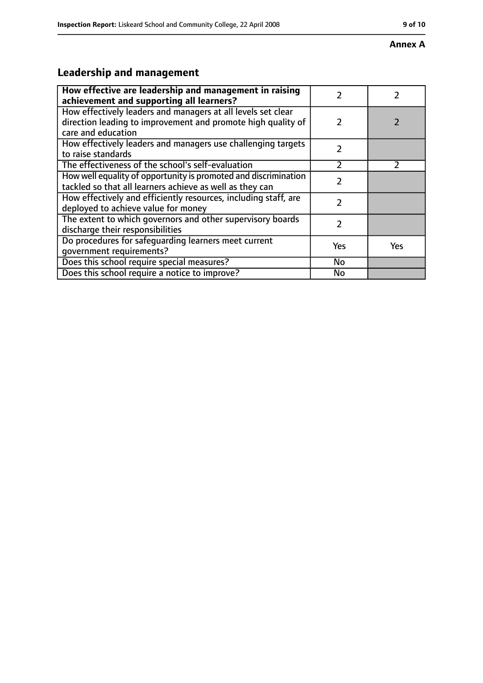#### **Annex A**

# **Leadership and management**

| How effective are leadership and management in raising<br>achievement and supporting all learners?                                                 | 7             |               |
|----------------------------------------------------------------------------------------------------------------------------------------------------|---------------|---------------|
| How effectively leaders and managers at all levels set clear<br>direction leading to improvement and promote high quality of<br>care and education | $\mathcal{L}$ |               |
| How effectively leaders and managers use challenging targets<br>to raise standards                                                                 | $\mathcal{P}$ |               |
| The effectiveness of the school's self-evaluation                                                                                                  | $\mathcal{P}$ | $\mathcal{P}$ |
| How well equality of opportunity is promoted and discrimination<br>tackled so that all learners achieve as well as they can                        | 7             |               |
| How effectively and efficiently resources, including staff, are<br>deployed to achieve value for money                                             | 7             |               |
| The extent to which governors and other supervisory boards<br>discharge their responsibilities                                                     | 2             |               |
| Do procedures for safequarding learners meet current<br>qovernment requirements?                                                                   | Yes           | <b>Yes</b>    |
| Does this school require special measures?                                                                                                         | No            |               |
| Does this school require a notice to improve?                                                                                                      | No            |               |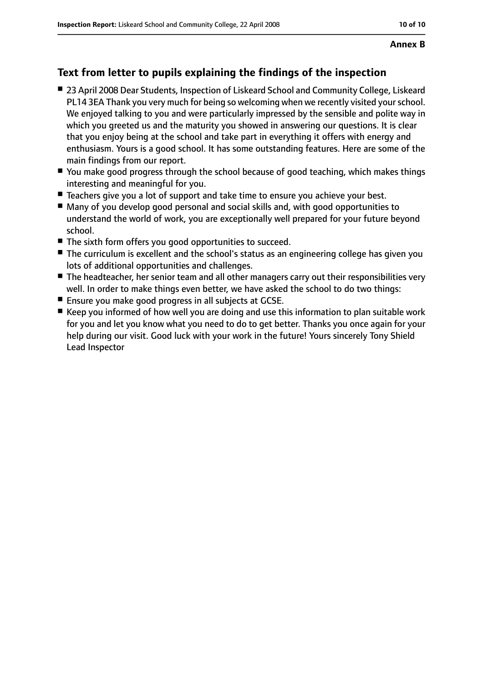## **Text from letter to pupils explaining the findings of the inspection**

- 23 April 2008 Dear Students, Inspection of Liskeard School and Community College, Liskeard PL14 3EA Thank you very much for being so welcoming when we recently visited your school. We enjoyed talking to you and were particularly impressed by the sensible and polite way in which you greeted us and the maturity you showed in answering our questions. It is clear that you enjoy being at the school and take part in everything it offers with energy and enthusiasm. Yours is a good school. It has some outstanding features. Here are some of the main findings from our report.
- You make good progress through the school because of good teaching, which makes things interesting and meaningful for you.
- Teachers give you a lot of support and take time to ensure you achieve your best.
- Many of you develop good personal and social skills and, with good opportunities to understand the world of work, you are exceptionally well prepared for your future beyond school.
- The sixth form offers you good opportunities to succeed.
- The curriculum is excellent and the school's status as an engineering college has given you lots of additional opportunities and challenges.
- The headteacher, her senior team and all other managers carry out their responsibilities very well. In order to make things even better, we have asked the school to do two things:
- Ensure you make good progress in all subjects at GCSE.
- Keep you informed of how well you are doing and use this information to plan suitable work for you and let you know what you need to do to get better. Thanks you once again for your help during our visit. Good luck with your work in the future! Yours sincerely Tony Shield Lead Inspector